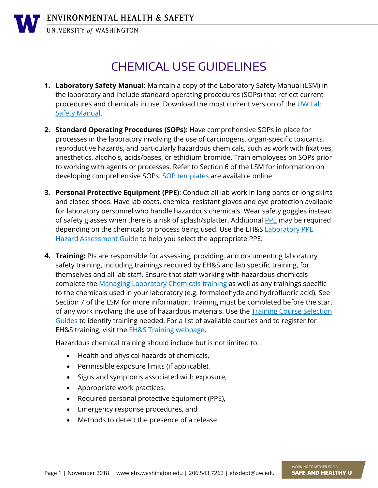UNIVERSITY of WASHINGTON

## CHEMICAL USE GUIDELINES

- **1. Laboratory Safety Manual:** Maintain a copy of the Laboratory Safety Manual (LSM) in the laboratory and include standard operating procedures (SOPs) that reflect current procedures and chemicals in use. Download the most current version of the [UW Lab](https://www.ehs.washington.edu/resource/laboratory-safety-manual-510)  [Safety Manual.](https://www.ehs.washington.edu/resource/laboratory-safety-manual-510)
- **2. Standard Operating Procedures (SOPs):** Have comprehensive SOPs in place for processes in the laboratory involving the use of carcinogens, organ-specific toxicants, reproductive hazards, and particularly hazardous chemicals, such as work with fixatives, anesthetics, alcohols, acids/bases, or ethidium bromide. Train employees on SOPs prior to working with agents or processes. Refer to Section 6 of the LSM for information on developing comprehensive SOPs. [SOP templates](http://www.ehs.washington.edu/chemical/chemical-sops) are available online.
- **3. Personal Protective Equipment (PPE)**: Conduct all lab work in long pants or long skirts and closed shoes. Have lab coats, chemical resistant gloves and eye protection available for laboratory personnel who handle hazardous chemicals. Wear safety goggles instead of safety glasses when there is a risk of splash/splatter. Additional [PPE](https://www.ehs.washington.edu/workplace/personal-protective-equipment-ppe) may be required depending on the chemicals or process being used. Use the EH&S Laboratory PPE [Hazard Assessment Guide](https://www.ehs.washington.edu/system/files/resources/lab-ppe-hazard-assessment.docx) to help you select the appropriate PPE.
- **4. Training:** PIs are responsible for assessing, providing, and documenting laboratory safety training, including trainings required by EH&S and lab specific training, for themselves and all lab staff. Ensure that staff working with hazardous chemicals complete the [Managing Laboratory Chemicals training](http://www.ehs.washington.edu/training/managing-laboratory-chemicals-online) as well as any trainings specific to the chemicals used in your laboratory (e.g. formaldehyde and hydrofluoric acid). See Section 7 of the LSM for more information. Training must be completed before the start of any work involving the use of hazardous materials. Use the **Training Course Selection** [Guides](https://www.ehs.washington.edu/training/training-course-selection-guides) to identify training needed. For a list of available courses and to register for EH&S training, visit the **EH&S Training webpage**.

Hazardous chemical training should include but is not limited to:

- Health and physical hazards of chemicals,
- Permissible exposure limits (if applicable),
- Signs and symptoms associated with exposure,
- Appropriate work practices,
- Required personal protective equipment (PPE),
- Emergency response procedures, and
- Methods to detect the presence of a release.